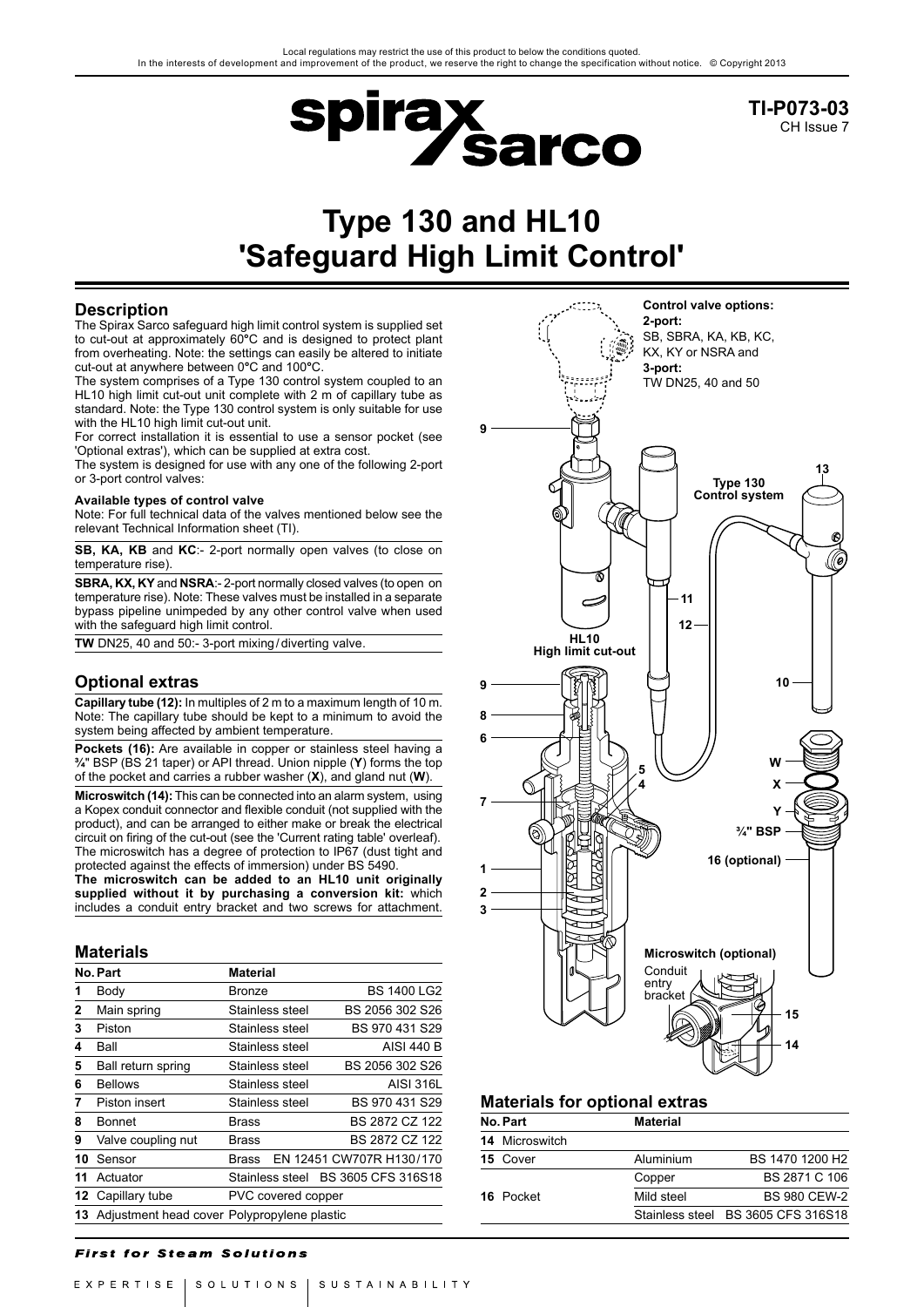

**TI-P073-03** CH Issue 7

# **Type 130 and HL10 'Safeguard High Limit Control'**

# **Description**

The Spirax Sarco safeguard high limit control system is supplied set to cut-out at approximately 60**°**C and is designed to protect plant from overheating. Note: the settings can easily be altered to initiate cut-out at anywhere between 0**°**C and 100**°**C.

The system comprises of a Type 130 control system coupled to an HL10 high limit cut-out unit complete with 2 m of capillary tube as standard. Note: the Type 130 control system is only suitable for use with the HL10 high limit cut-out unit.

For correct installation it is essential to use a sensor pocket (see 'Optional extras'), which can be supplied at extra cost.

The system is designed for use with any one of the following 2-port or 3-port control valves:

#### **Available types of control valve**

Note: For full technical data of the valves mentioned below see the relevant Technical Information sheet (TI).

**SB, KA, KB** and **KC**:- 2-port normally open valves (to close on temperature rise).

**SBRA, KX, KY** and **NSRA**:- 2-port normally closed valves (to open on temperature rise). Note: These valves must be installed in a separate bypass pipeline unimpeded by any other control valve when used with the safeguard high limit control.

**TW** DN25, 40 and 50:- 3-port mixing/diverting valve.

# **Optional extras**

**Capillary tube (12):** In multiples of 2 m to a maximum length of 10 m. Note: The capillary tube should be kept to a minimum to avoid the system being affected by ambient temperature.

**Pockets (16):** Are available in copper or stainless steel having a **¾**" BSP (BS 21 taper) or API thread. Union nipple (**Y**) forms the top of the pocket and carries a rubber washer (**X**), and gland nut (**W**).

**Microswitch (14):** This can be connected into an alarm system, using a Kopex conduit connector and flexible conduit (not supplied with the product), and can be arranged to either make or break the electrical circuit on firing of the cut-out (see the 'Current rating table' overleaf). The microswitch has a degree of protection to IP67 (dust tight and protected against the effects of immersion) under BS 5490.

**The microswitch can be added to an HL10 unit originally supplied without it by purchasing a conversion kit:** which includes a conduit entry bracket and two screws for attachment.

## **Materials**

|    | No. Part                                       | <b>Material</b>    |                          |
|----|------------------------------------------------|--------------------|--------------------------|
| 1  | Body                                           | Bronze             | <b>BS 1400 LG2</b>       |
| 2  | Main spring                                    | Stainless steel    | BS 2056 302 S26          |
| 3  | Piston                                         | Stainless steel    | BS 970 431 S29           |
| 4  | Ball                                           | Stainless steel    | AISI 440 B               |
| 5  | Ball return spring                             | Stainless steel    | BS 2056 302 S26          |
| 6  | <b>Bellows</b>                                 | Stainless steel    | <b>AISI 316L</b>         |
| 7  | Piston insert                                  | Stainless steel    | BS 970 431 S29           |
| 8  | <b>Bonnet</b>                                  | Brass              | BS 2872 CZ 122           |
| 9  | Valve coupling nut                             | Brass              | BS 2872 CZ 122           |
| 10 | Sensor                                         | <b>Brass</b>       | EN 12451 CW707R H130/170 |
| 11 | Actuator                                       | Stainless steel    | BS 3605 CFS 316S18       |
|    | 12 Capillary tube                              | PVC covered copper |                          |
|    | 13 Adjustment head cover Polypropylene plastic |                    |                          |

## **First for Steam Solutions**



# **Materials for optional extras**

| No. Part |                       | <b>Material</b> |                                    |  |  |
|----------|-----------------------|-----------------|------------------------------------|--|--|
|          | <b>14 Microswitch</b> |                 |                                    |  |  |
|          | 15 Cover              | Aluminium       | BS 1470 1200 H <sub>2</sub>        |  |  |
|          |                       | Copper          | BS 2871 C 106                      |  |  |
|          | 16 Pocket             | Mild steel      | <b>BS 980 CEW-2</b>                |  |  |
|          |                       |                 | Stainless steel BS 3605 CFS 316S18 |  |  |